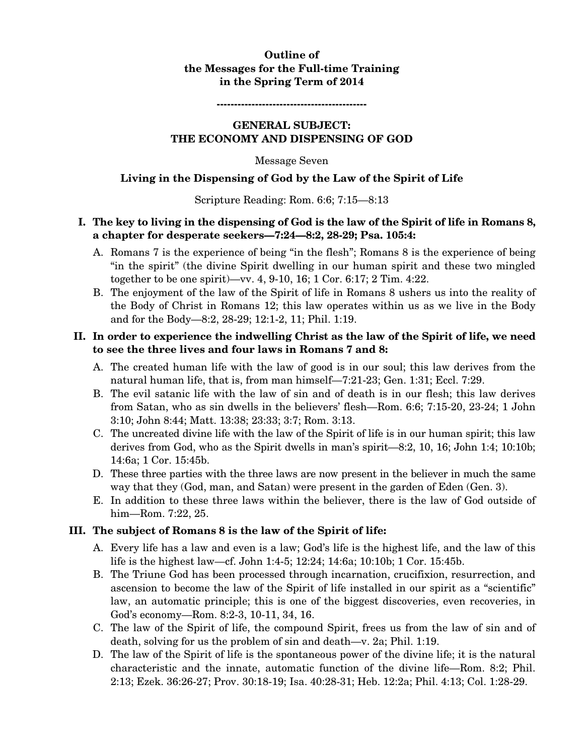# **Outline of the Messages for the Full-time Training in the Spring Term of 2014**

**-------------------------------------------** 

#### **GENERAL SUBJECT: THE ECONOMY AND DISPENSING OF GOD**

#### Message Seven

### **Living in the Dispensing of God by the Law of the Spirit of Life**

### Scripture Reading: Rom. 6:6; 7:15—8:13

## **I. The key to living in the dispensing of God is the law of the Spirit of life in Romans 8, a chapter for desperate seekers—7:24—8:2, 28-29; Psa. 105:4:**

- A. Romans 7 is the experience of being "in the flesh"; Romans 8 is the experience of being "in the spirit" (the divine Spirit dwelling in our human spirit and these two mingled together to be one spirit)—vv. 4, 9-10, 16; 1 Cor. 6:17; 2 Tim. 4:22.
- B. The enjoyment of the law of the Spirit of life in Romans 8 ushers us into the reality of the Body of Christ in Romans 12; this law operates within us as we live in the Body and for the Body—8:2, 28-29; 12:1-2, 11; Phil. 1:19.

## **II. In order to experience the indwelling Christ as the law of the Spirit of life, we need to see the three lives and four laws in Romans 7 and 8:**

- A. The created human life with the law of good is in our soul; this law derives from the natural human life, that is, from man himself—7:21-23; Gen. 1:31; Eccl. 7:29.
- B. The evil satanic life with the law of sin and of death is in our flesh; this law derives from Satan, who as sin dwells in the believers' flesh—Rom. 6:6; 7:15-20, 23-24; 1 John 3:10; John 8:44; Matt. 13:38; 23:33; 3:7; Rom. 3:13.
- C. The uncreated divine life with the law of the Spirit of life is in our human spirit; this law derives from God, who as the Spirit dwells in man's spirit—8:2, 10, 16; John 1:4; 10:10b; 14:6a; 1 Cor. 15:45b.
- D. These three parties with the three laws are now present in the believer in much the same way that they (God, man, and Satan) were present in the garden of Eden (Gen. 3).
- E. In addition to these three laws within the believer, there is the law of God outside of him—Rom. 7:22, 25.

### **III. The subject of Romans 8 is the law of the Spirit of life:**

- A. Every life has a law and even is a law; God's life is the highest life, and the law of this life is the highest law—cf. John 1:4-5; 12:24; 14:6a; 10:10b; 1 Cor. 15:45b.
- B. The Triune God has been processed through incarnation, crucifixion, resurrection, and ascension to become the law of the Spirit of life installed in our spirit as a "scientific" law, an automatic principle; this is one of the biggest discoveries, even recoveries, in God's economy—Rom. 8:2-3, 10-11, 34, 16.
- C. The law of the Spirit of life, the compound Spirit, frees us from the law of sin and of death, solving for us the problem of sin and death—v. 2a; Phil. 1:19.
- D. The law of the Spirit of life is the spontaneous power of the divine life; it is the natural characteristic and the innate, automatic function of the divine life—Rom. 8:2; Phil. 2:13; Ezek. 36:26-27; Prov. 30:18-19; Isa. 40:28-31; Heb. 12:2a; Phil. 4:13; Col. 1:28-29.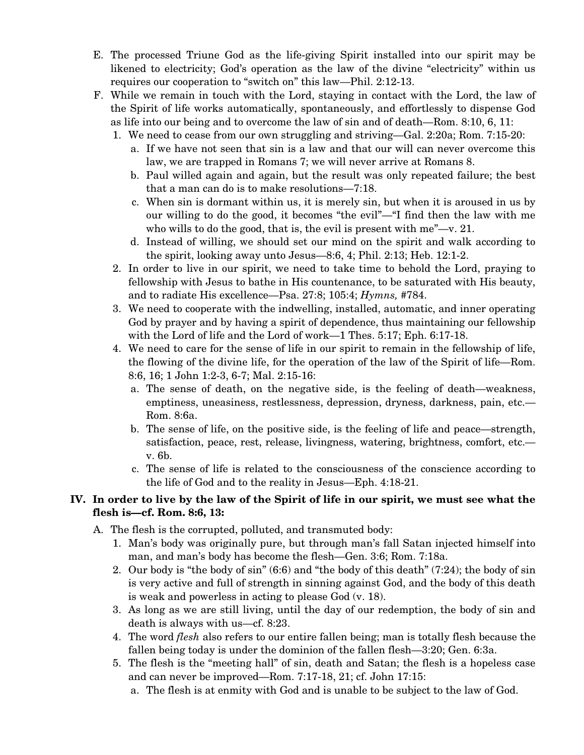- E. The processed Triune God as the life-giving Spirit installed into our spirit may be likened to electricity; God's operation as the law of the divine "electricity" within us requires our cooperation to "switch on" this law—Phil. 2:12-13.
- F. While we remain in touch with the Lord, staying in contact with the Lord, the law of the Spirit of life works automatically, spontaneously, and effortlessly to dispense God as life into our being and to overcome the law of sin and of death—Rom. 8:10, 6, 11:
	- 1. We need to cease from our own struggling and striving—Gal. 2:20a; Rom. 7:15-20:
		- a. If we have not seen that sin is a law and that our will can never overcome this law, we are trapped in Romans 7; we will never arrive at Romans 8.
		- b. Paul willed again and again, but the result was only repeated failure; the best that a man can do is to make resolutions—7:18.
		- c. When sin is dormant within us, it is merely sin, but when it is aroused in us by our willing to do the good, it becomes "the evil"—"I find then the law with me who wills to do the good, that is, the evil is present with me"—v. 21.
		- d. Instead of willing, we should set our mind on the spirit and walk according to the spirit, looking away unto Jesus—8:6, 4; Phil. 2:13; Heb. 12:1-2.
	- 2. In order to live in our spirit, we need to take time to behold the Lord, praying to fellowship with Jesus to bathe in His countenance, to be saturated with His beauty, and to radiate His excellence—Psa. 27:8; 105:4; *Hymns,* #784.
	- 3. We need to cooperate with the indwelling, installed, automatic, and inner operating God by prayer and by having a spirit of dependence, thus maintaining our fellowship with the Lord of life and the Lord of work—1 Thes. 5:17; Eph. 6:17-18.
	- 4. We need to care for the sense of life in our spirit to remain in the fellowship of life, the flowing of the divine life, for the operation of the law of the Spirit of life—Rom. 8:6, 16; 1 John 1:2-3, 6-7; Mal. 2:15-16:
		- a. The sense of death, on the negative side, is the feeling of death—weakness, emptiness, uneasiness, restlessness, depression, dryness, darkness, pain, etc.— Rom. 8:6a.
		- b. The sense of life, on the positive side, is the feeling of life and peace—strength, satisfaction, peace, rest, release, livingness, watering, brightness, comfort, etc. v. 6b.
		- c. The sense of life is related to the consciousness of the conscience according to the life of God and to the reality in Jesus—Eph. 4:18-21.

# **IV. In order to live by the law of the Spirit of life in our spirit, we must see what the flesh is—cf. Rom. 8:6, 13:**

- A. The flesh is the corrupted, polluted, and transmuted body:
	- 1. Man's body was originally pure, but through man's fall Satan injected himself into man, and man's body has become the flesh—Gen. 3:6; Rom. 7:18a.
	- 2. Our body is "the body of sin" (6:6) and "the body of this death" (7:24); the body of sin is very active and full of strength in sinning against God, and the body of this death is weak and powerless in acting to please God (v. 18).
	- 3. As long as we are still living, until the day of our redemption, the body of sin and death is always with us—cf. 8:23.
	- 4. The word *flesh* also refers to our entire fallen being; man is totally flesh because the fallen being today is under the dominion of the fallen flesh—3:20; Gen. 6:3a.
	- 5. The flesh is the "meeting hall" of sin, death and Satan; the flesh is a hopeless case and can never be improved—Rom. 7:17-18, 21; cf. John 17:15:
		- a. The flesh is at enmity with God and is unable to be subject to the law of God.